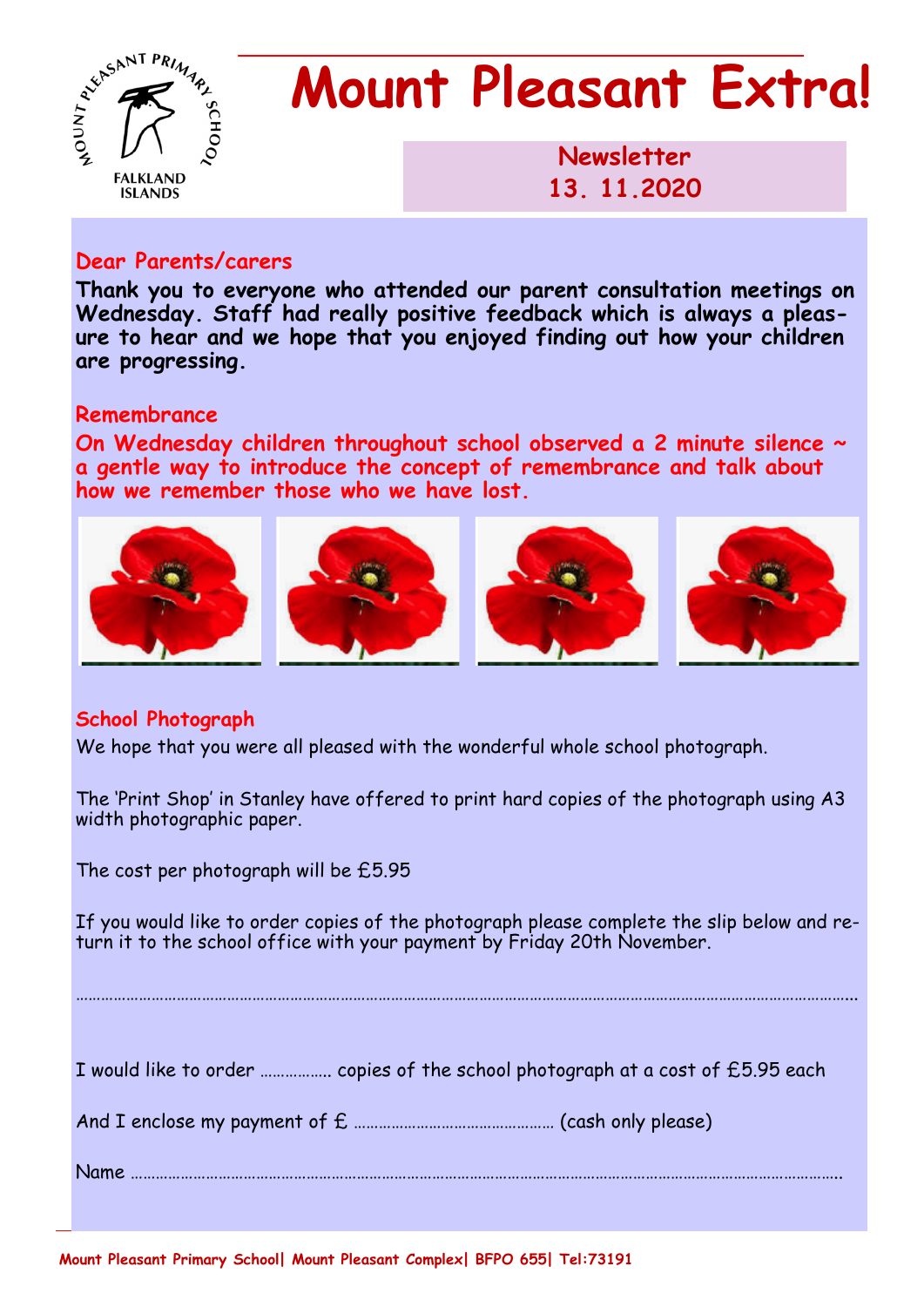

# **Mount Pleasant Extra!**

**Newsletter 1986 13. 11.2020** 

#### **Dear Parents/carers**

**Thank you to everyone who attended our parent consultation meetings on Wednesday. Staff had really positive feedback which is always a pleasure to hear and we hope that you enjoyed finding out how your children are progressing.** 

#### **Remembrance**

**On Wednesday children throughout school observed a 2 minute silence ~ a gentle way to introduce the concept of remembrance and talk about how we remember those who we have lost.** 



### **School Photograph**

We hope that you were all pleased with the wonderful whole school photograph.

The 'Print Shop' in Stanley have offered to print hard copies of the photograph using A3 width photographic paper.

The cost per photograph will be £5.95

If you would like to order copies of the photograph please complete the slip below and return it to the school office with your payment by Friday 20th November.

…………………………………………………………………………………………………………………………………………………………………...

| I would like to order  copies of the school photograph at a cost of £5.95 each |  |  |  |
|--------------------------------------------------------------------------------|--|--|--|
|--------------------------------------------------------------------------------|--|--|--|

And I enclose my payment of £ ………………………………………… (cash only please)

Name ……………………………………………………………………………………………………………………………………………………..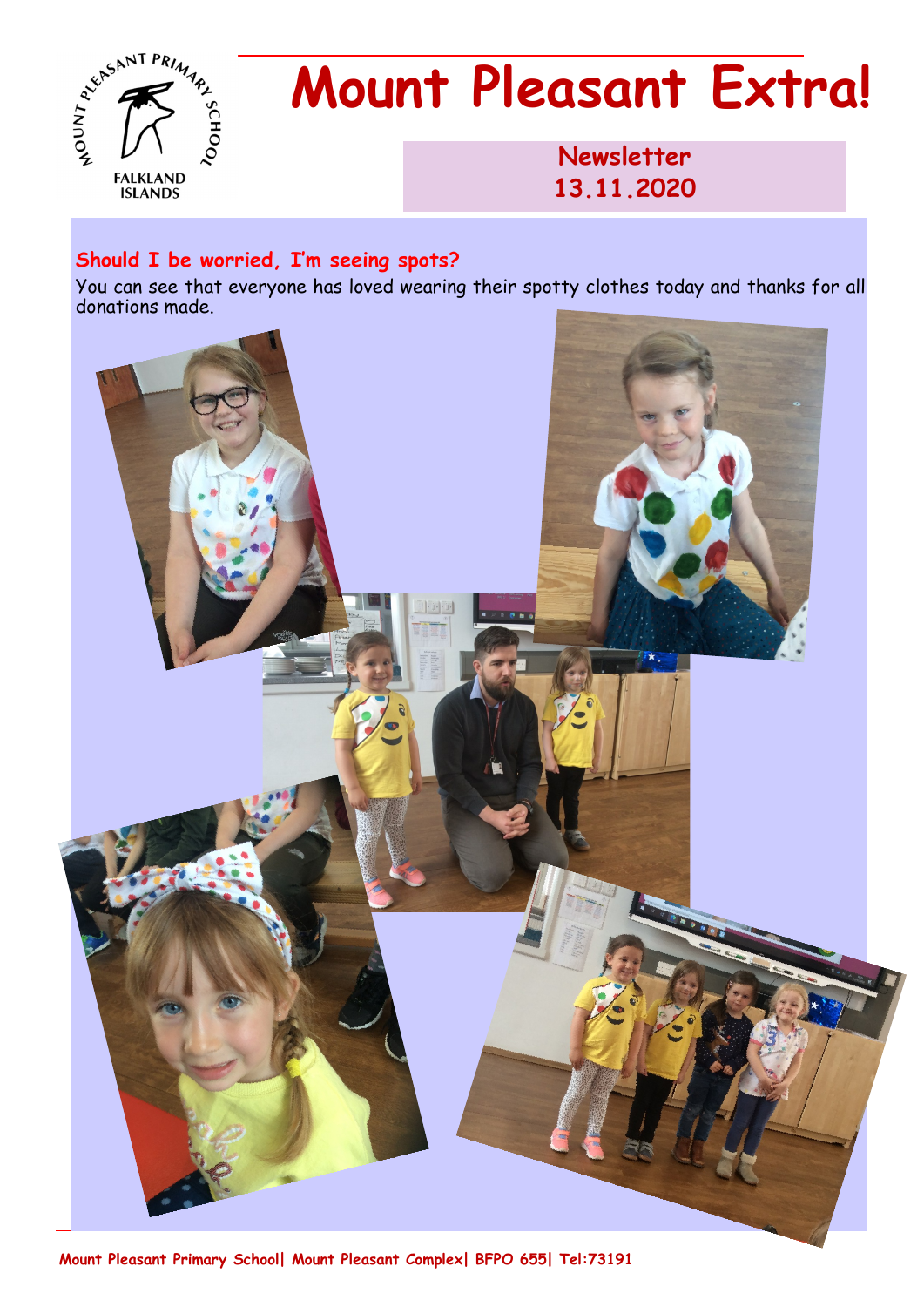

# **Mount Pleasant Extra!**

**Newsletter 1986 13.11.2020** 

#### **Should I be worried, I'm seeing spots?**

You can see that everyone has loved wearing their spotty clothes today and thanks for all donations made.



**Mount Pleasant Primary School| Mount Pleasant Complex| BFPO 655| Tel:73191**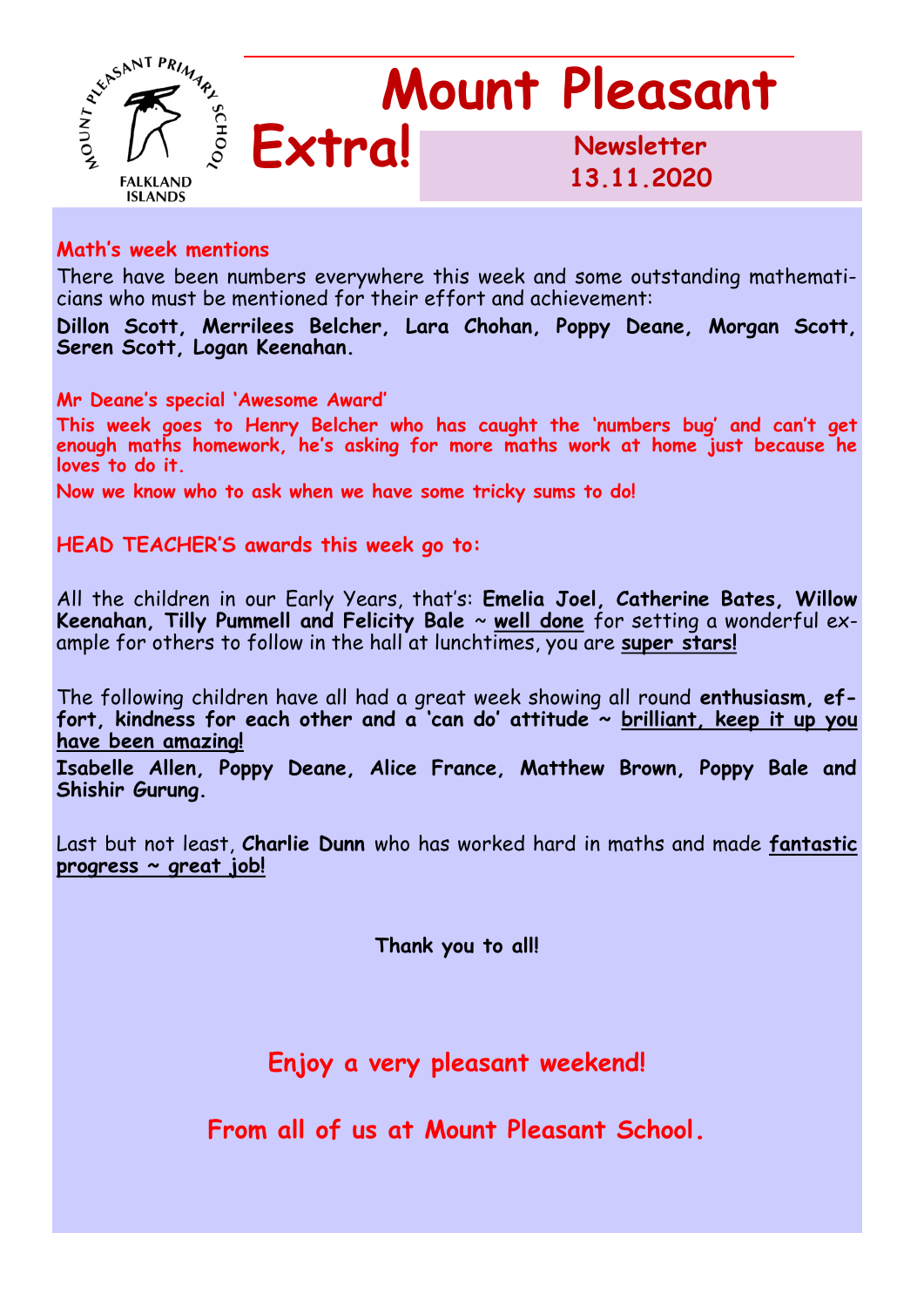

#### **Math's week mentions**

There have been numbers everywhere this week and some outstanding mathematicians who must be mentioned for their effort and achievement:

**Dillon Scott, Merrilees Belcher, Lara Chohan, Poppy Deane, Morgan Scott, Seren Scott, Logan Keenahan.**

**Mr Deane's special 'Awesome Award'**

**This week goes to Henry Belcher who has caught the 'numbers bug' and can't get enough maths homework, he's asking for more maths work at home just because he loves to do it.**

**Now we know who to ask when we have some tricky sums to do!**

**HEAD TEACHER'S awards this week go to:** 

All the children in our Early Years, that's: **Emelia Joel, Catherine Bates, Willow Keenahan, Tilly Pummell and Felicity Bale** ~ **well done** for setting a wonderful example for others to follow in the hall at lunchtimes, you are **super stars!**

The following children have all had a great week showing all round **enthusiasm, effort, kindness for each other and a 'can do' attitude ~ brilliant, keep it up you have been amazing!**

**Isabelle Allen, Poppy Deane, Alice France, Matthew Brown, Poppy Bale and Shishir Gurung.**

Last but not least, **Charlie Dunn** who has worked hard in maths and made **fantastic progress ~ great job!**

**Thank you to all!**

**Enjoy a very pleasant weekend!**

**From all of us at Mount Pleasant School.**